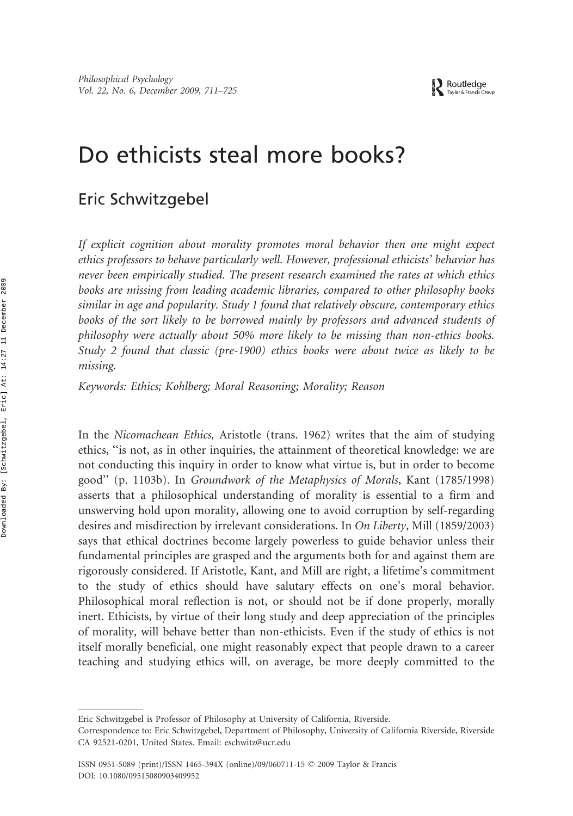# Do ethicists steal more books?

# Eric Schwitzgebel

If explicit cognition about morality promotes moral behavior then one might expect ethics professors to behave particularly well. However, professional ethicists' behavior has never been empirically studied. The present research examined the rates at which ethics books are missing from leading academic libraries, compared to other philosophy books similar in age and popularity. Study 1 found that relatively obscure, contemporary ethics books of the sort likely to be borrowed mainly by professors and advanced students of philosophy were actually about 50% more likely to be missing than non-ethics books. Study 2 found that classic (pre-1900) ethics books were about twice as likely to be missing.

Keywords: Ethics; Kohlberg; Moral Reasoning; Morality; Reason

In the Nicomachean Ethics, Aristotle (trans. 1962) writes that the aim of studying ethics, ''is not, as in other inquiries, the attainment of theoretical knowledge: we are not conducting this inquiry in order to know what virtue is, but in order to become good'' (p. 1103b). In Groundwork of the Metaphysics of Morals, Kant (1785/1998) asserts that a philosophical understanding of morality is essential to a firm and unswerving hold upon morality, allowing one to avoid corruption by self-regarding desires and misdirection by irrelevant considerations. In On Liberty, Mill (1859/2003) says that ethical doctrines become largely powerless to guide behavior unless their fundamental principles are grasped and the arguments both for and against them are rigorously considered. If Aristotle, Kant, and Mill are right, a lifetime's commitment to the study of ethics should have salutary effects on one's moral behavior. Philosophical moral reflection is not, or should not be if done properly, morally inert. Ethicists, by virtue of their long study and deep appreciation of the principles of morality, will behave better than non-ethicists. Even if the study of ethics is not itself morally beneficial, one might reasonably expect that people drawn to a career teaching and studying ethics will, on average, be more deeply committed to the

Eric Schwitzgebel is Professor of Philosophy at University of California, Riverside.

Correspondence to: Eric Schwitzgebel, Department of Philosophy, University of California Riverside, Riverside CA 92521-0201, United States. Email: eschwitz@ucr.edu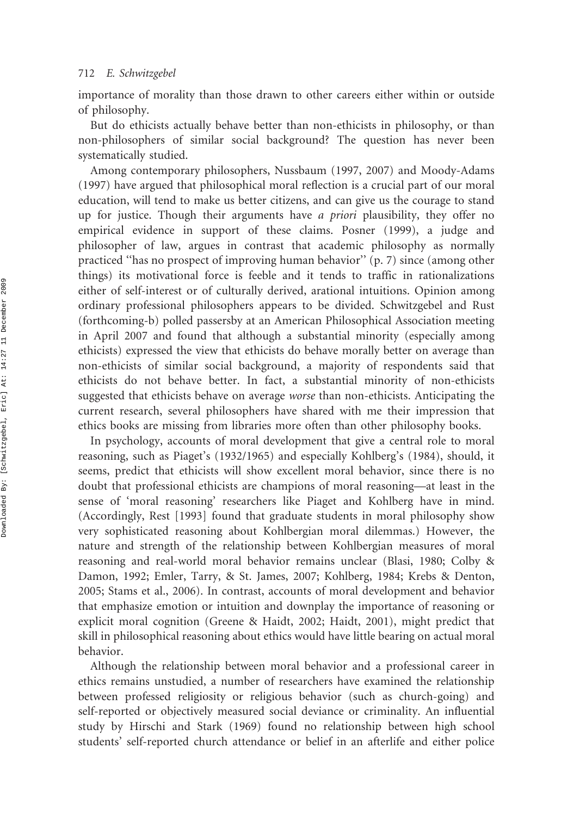importance of morality than those drawn to other careers either within or outside of philosophy.

But do ethicists actually behave better than non-ethicists in philosophy, or than non-philosophers of similar social background? The question has never been systematically studied.

Among contemporary philosophers, Nussbaum (1997, 2007) and Moody-Adams (1997) have argued that philosophical moral reflection is a crucial part of our moral education, will tend to make us better citizens, and can give us the courage to stand up for justice. Though their arguments have *a priori* plausibility, they offer no empirical evidence in support of these claims. Posner (1999), a judge and philosopher of law, argues in contrast that academic philosophy as normally practiced ''has no prospect of improving human behavior'' (p. 7) since (among other things) its motivational force is feeble and it tends to traffic in rationalizations either of self-interest or of culturally derived, arational intuitions. Opinion among ordinary professional philosophers appears to be divided. Schwitzgebel and Rust (forthcoming-b) polled passersby at an American Philosophical Association meeting in April 2007 and found that although a substantial minority (especially among ethicists) expressed the view that ethicists do behave morally better on average than non-ethicists of similar social background, a majority of respondents said that ethicists do not behave better. In fact, a substantial minority of non-ethicists suggested that ethicists behave on average worse than non-ethicists. Anticipating the current research, several philosophers have shared with me their impression that ethics books are missing from libraries more often than other philosophy books.

In psychology, accounts of moral development that give a central role to moral reasoning, such as Piaget's (1932/1965) and especially Kohlberg's (1984), should, it seems, predict that ethicists will show excellent moral behavior, since there is no doubt that professional ethicists are champions of moral reasoning—at least in the sense of 'moral reasoning' researchers like Piaget and Kohlberg have in mind. (Accordingly, Rest [1993] found that graduate students in moral philosophy show very sophisticated reasoning about Kohlbergian moral dilemmas.) However, the nature and strength of the relationship between Kohlbergian measures of moral reasoning and real-world moral behavior remains unclear (Blasi, 1980; Colby & Damon, 1992; Emler, Tarry, & St. James, 2007; Kohlberg, 1984; Krebs & Denton, 2005; Stams et al., 2006). In contrast, accounts of moral development and behavior that emphasize emotion or intuition and downplay the importance of reasoning or explicit moral cognition (Greene & Haidt, 2002; Haidt, 2001), might predict that skill in philosophical reasoning about ethics would have little bearing on actual moral behavior.

Although the relationship between moral behavior and a professional career in ethics remains unstudied, a number of researchers have examined the relationship between professed religiosity or religious behavior (such as church-going) and self-reported or objectively measured social deviance or criminality. An influential study by Hirschi and Stark (1969) found no relationship between high school students' self-reported church attendance or belief in an afterlife and either police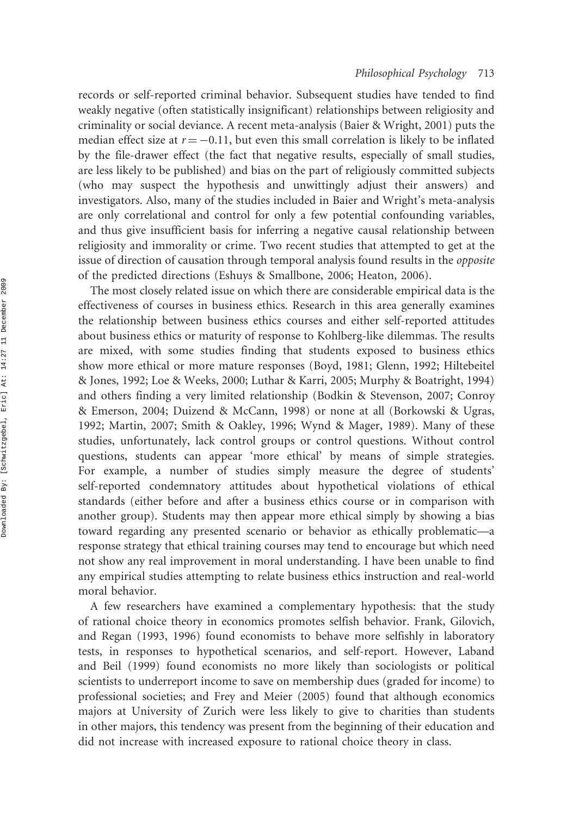# Philosophical Psychology 713

records or self-reported criminal behavior. Subsequent studies have tended to find weakly negative (often statistically insignificant) relationships between religiosity and criminality or social deviance. A recent meta-analysis (Baier & Wright, 2001) puts the median effect size at  $r = -0.11$ , but even this small correlation is likely to be inflated by the file-drawer effect (the fact that negative results, especially of small studies, are less likely to be published) and bias on the part of religiously committed subjects (who may suspect the hypothesis and unwittingly adjust their answers) and investigators. Also, many of the studies included in Baier and Wright's meta-analysis are only correlational and control for only a few potential confounding variables, and thus give insufficient basis for inferring a negative causal relationship between religiosity and immorality or crime. Two recent studies that attempted to get at the issue of direction of causation through temporal analysis found results in the opposite of the predicted directions (Eshuys & Smallbone, 2006; Heaton, 2006).

The most closely related issue on which there are considerable empirical data is the effectiveness of courses in business ethics. Research in this area generally examines the relationship between business ethics courses and either self-reported attitudes about business ethics or maturity of response to Kohlberg-like dilemmas. The results are mixed, with some studies finding that students exposed to business ethics show more ethical or more mature responses (Boyd, 1981; Glenn, 1992; Hiltebeitel & Jones, 1992; Loe & Weeks, 2000; Luthar & Karri, 2005; Murphy & Boatright, 1994) and others finding a very limited relationship (Bodkin & Stevenson, 2007; Conroy & Emerson, 2004; Duizend & McCann, 1998) or none at all (Borkowski & Ugras, 1992; Martin, 2007; Smith & Oakley, 1996; Wynd & Mager, 1989). Many of these studies, unfortunately, lack control groups or control questions. Without control questions, students can appear 'more ethical' by means of simple strategies. For example, a number of studies simply measure the degree of students' self-reported condemnatory attitudes about hypothetical violations of ethical standards (either before and after a business ethics course or in comparison with another group). Students may then appear more ethical simply by showing a bias toward regarding any presented scenario or behavior as ethically problematic—a response strategy that ethical training courses may tend to encourage but which need not show any real improvement in moral understanding. I have been unable to find any empirical studies attempting to relate business ethics instruction and real-world moral behavior.

A few researchers have examined a complementary hypothesis: that the study of rational choice theory in economics promotes selfish behavior. Frank, Gilovich, and Regan (1993, 1996) found economists to behave more selfishly in laboratory tests, in responses to hypothetical scenarios, and self-report. However, Laband and Beil (1999) found economists no more likely than sociologists or political scientists to underreport income to save on membership dues (graded for income) to professional societies; and Frey and Meier (2005) found that although economics majors at University of Zurich were less likely to give to charities than students in other majors, this tendency was present from the beginning of their education and did not increase with increased exposure to rational choice theory in class.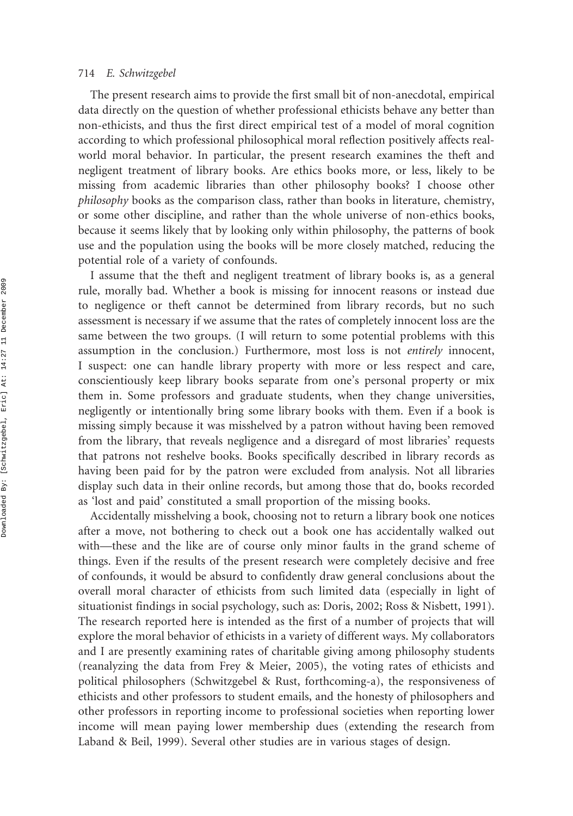The present research aims to provide the first small bit of non-anecdotal, empirical data directly on the question of whether professional ethicists behave any better than non-ethicists, and thus the first direct empirical test of a model of moral cognition according to which professional philosophical moral reflection positively affects realworld moral behavior. In particular, the present research examines the theft and negligent treatment of library books. Are ethics books more, or less, likely to be missing from academic libraries than other philosophy books? I choose other philosophy books as the comparison class, rather than books in literature, chemistry, or some other discipline, and rather than the whole universe of non-ethics books, because it seems likely that by looking only within philosophy, the patterns of book use and the population using the books will be more closely matched, reducing the potential role of a variety of confounds.

I assume that the theft and negligent treatment of library books is, as a general rule, morally bad. Whether a book is missing for innocent reasons or instead due to negligence or theft cannot be determined from library records, but no such assessment is necessary if we assume that the rates of completely innocent loss are the same between the two groups. (I will return to some potential problems with this assumption in the conclusion.) Furthermore, most loss is not entirely innocent, I suspect: one can handle library property with more or less respect and care, conscientiously keep library books separate from one's personal property or mix them in. Some professors and graduate students, when they change universities, negligently or intentionally bring some library books with them. Even if a book is missing simply because it was misshelved by a patron without having been removed from the library, that reveals negligence and a disregard of most libraries' requests that patrons not reshelve books. Books specifically described in library records as having been paid for by the patron were excluded from analysis. Not all libraries display such data in their online records, but among those that do, books recorded as 'lost and paid' constituted a small proportion of the missing books.

Accidentally misshelving a book, choosing not to return a library book one notices after a move, not bothering to check out a book one has accidentally walked out with—these and the like are of course only minor faults in the grand scheme of things. Even if the results of the present research were completely decisive and free of confounds, it would be absurd to confidently draw general conclusions about the overall moral character of ethicists from such limited data (especially in light of situationist findings in social psychology, such as: Doris, 2002; Ross & Nisbett, 1991). The research reported here is intended as the first of a number of projects that will explore the moral behavior of ethicists in a variety of different ways. My collaborators and I are presently examining rates of charitable giving among philosophy students (reanalyzing the data from Frey & Meier, 2005), the voting rates of ethicists and political philosophers (Schwitzgebel & Rust, forthcoming-a), the responsiveness of ethicists and other professors to student emails, and the honesty of philosophers and other professors in reporting income to professional societies when reporting lower income will mean paying lower membership dues (extending the research from Laband & Beil, 1999). Several other studies are in various stages of design.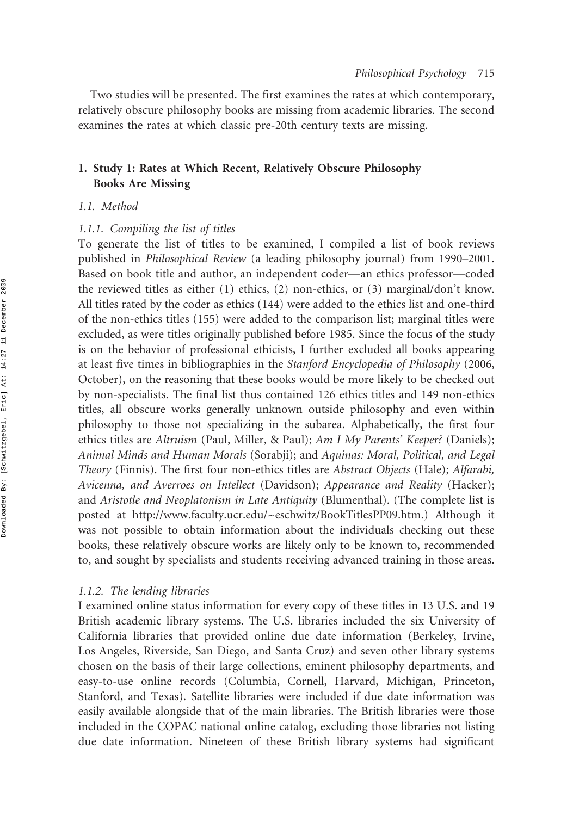Two studies will be presented. The first examines the rates at which contemporary, relatively obscure philosophy books are missing from academic libraries. The second examines the rates at which classic pre-20th century texts are missing.

# 1. Study 1: Rates at Which Recent, Relatively Obscure Philosophy Books Are Missing

#### 1.1. Method

# 1.1.1. Compiling the list of titles

To generate the list of titles to be examined, I compiled a list of book reviews published in Philosophical Review (a leading philosophy journal) from 1990–2001. Based on book title and author, an independent coder—an ethics professor—coded the reviewed titles as either (1) ethics, (2) non-ethics, or (3) marginal/don't know. All titles rated by the coder as ethics (144) were added to the ethics list and one-third of the non-ethics titles (155) were added to the comparison list; marginal titles were excluded, as were titles originally published before 1985. Since the focus of the study is on the behavior of professional ethicists, I further excluded all books appearing at least five times in bibliographies in the Stanford Encyclopedia of Philosophy (2006, October), on the reasoning that these books would be more likely to be checked out by non-specialists. The final list thus contained 126 ethics titles and 149 non-ethics titles, all obscure works generally unknown outside philosophy and even within philosophy to those not specializing in the subarea. Alphabetically, the first four ethics titles are Altruism (Paul, Miller, & Paul); Am I My Parents' Keeper? (Daniels); Animal Minds and Human Morals (Sorabji); and Aquinas: Moral, Political, and Legal Theory (Finnis). The first four non-ethics titles are Abstract Objects (Hale); Alfarabi, Avicenna, and Averroes on Intellect (Davidson); Appearance and Reality (Hacker); and Aristotle and Neoplatonism in Late Antiquity (Blumenthal). (The complete list is posted at http://www.faculty.ucr.edu/~eschwitz/BookTitlesPP09.htm.) Although it was not possible to obtain information about the individuals checking out these books, these relatively obscure works are likely only to be known to, recommended to, and sought by specialists and students receiving advanced training in those areas.

#### 1.1.2. The lending libraries

I examined online status information for every copy of these titles in 13 U.S. and 19 British academic library systems. The U.S. libraries included the six University of California libraries that provided online due date information (Berkeley, Irvine, Los Angeles, Riverside, San Diego, and Santa Cruz) and seven other library systems chosen on the basis of their large collections, eminent philosophy departments, and easy-to-use online records (Columbia, Cornell, Harvard, Michigan, Princeton, Stanford, and Texas). Satellite libraries were included if due date information was easily available alongside that of the main libraries. The British libraries were those included in the COPAC national online catalog, excluding those libraries not listing due date information. Nineteen of these British library systems had significant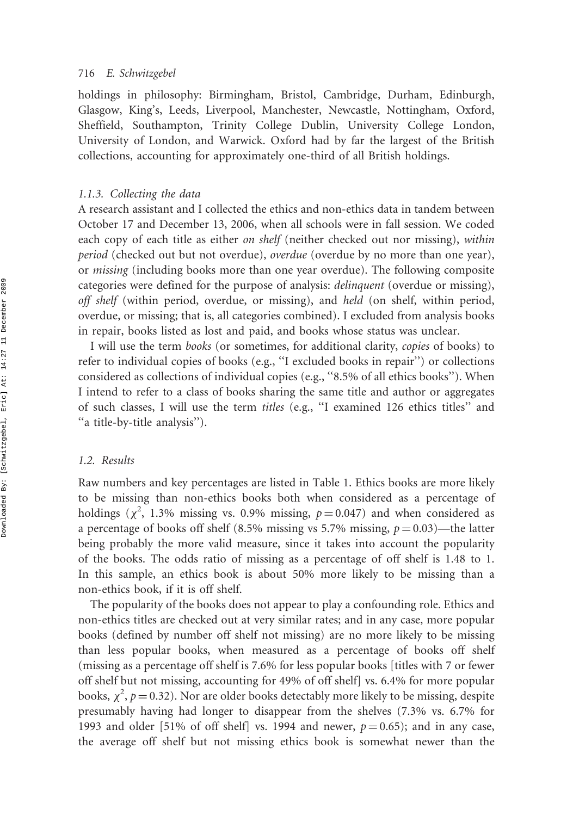holdings in philosophy: Birmingham, Bristol, Cambridge, Durham, Edinburgh, Glasgow, King's, Leeds, Liverpool, Manchester, Newcastle, Nottingham, Oxford, Sheffield, Southampton, Trinity College Dublin, University College London, University of London, and Warwick. Oxford had by far the largest of the British collections, accounting for approximately one-third of all British holdings.

### 1.1.3. Collecting the data

A research assistant and I collected the ethics and non-ethics data in tandem between October 17 and December 13, 2006, when all schools were in fall session. We coded each copy of each title as either on shelf (neither checked out nor missing), within period (checked out but not overdue), overdue (overdue by no more than one year), or *missing* (including books more than one year overdue). The following composite categories were defined for the purpose of analysis: delinquent (overdue or missing), off shelf (within period, overdue, or missing), and held (on shelf, within period, overdue, or missing; that is, all categories combined). I excluded from analysis books in repair, books listed as lost and paid, and books whose status was unclear.

I will use the term books (or sometimes, for additional clarity, copies of books) to refer to individual copies of books (e.g., ''I excluded books in repair'') or collections considered as collections of individual copies (e.g., ''8.5% of all ethics books''). When I intend to refer to a class of books sharing the same title and author or aggregates of such classes, I will use the term titles (e.g., ''I examined 126 ethics titles'' and ''a title-by-title analysis'').

# 1.2. Results

Raw numbers and key percentages are listed in Table 1. Ethics books are more likely to be missing than non-ethics books both when considered as a percentage of holdings ( $\chi^2$ , 1.3% missing vs. 0.9% missing,  $p = 0.047$ ) and when considered as a percentage of books off shelf (8.5% missing vs 5.7% missing,  $p = 0.03$ )—the latter being probably the more valid measure, since it takes into account the popularity of the books. The odds ratio of missing as a percentage of off shelf is 1.48 to 1. In this sample, an ethics book is about 50% more likely to be missing than a non-ethics book, if it is off shelf.

The popularity of the books does not appear to play a confounding role. Ethics and non-ethics titles are checked out at very similar rates; and in any case, more popular books (defined by number off shelf not missing) are no more likely to be missing than less popular books, when measured as a percentage of books off shelf (missing as a percentage off shelf is 7.6% for less popular books [titles with 7 or fewer off shelf but not missing, accounting for 49% of off shelf] vs. 6.4% for more popular books,  $\chi^2$ ,  $p = 0.32$ ). Nor are older books detectably more likely to be missing, despite presumably having had longer to disappear from the shelves (7.3% vs. 6.7% for 1993 and older [51% of off shelf] vs. 1994 and newer,  $p = 0.65$ ); and in any case, the average off shelf but not missing ethics book is somewhat newer than the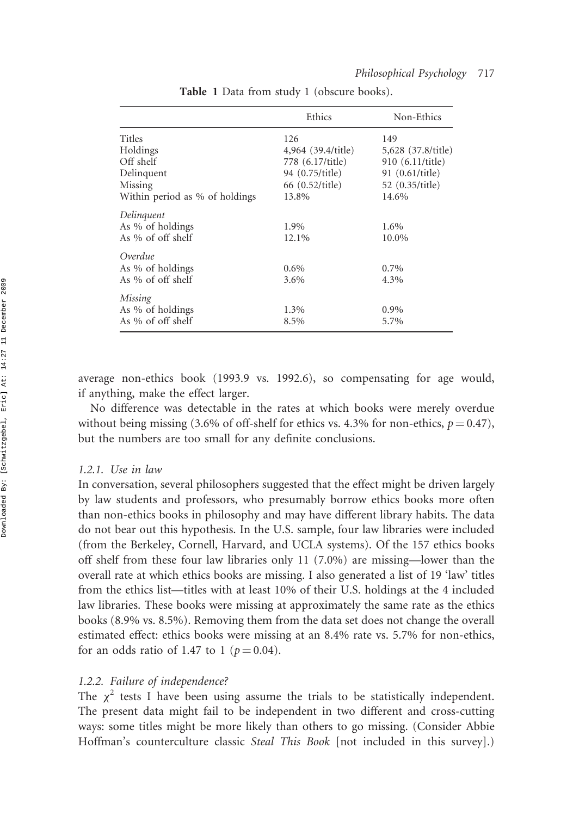|                                | Ethics             | Non-Ethics         |
|--------------------------------|--------------------|--------------------|
| <b>Titles</b>                  | 126                | 149                |
| Holdings                       | 4,964 (39.4/title) | 5,628 (37.8/title) |
| Off shelf                      | 778 (6.17/title)   | 910 (6.11/title)   |
| Delinquent                     | 94 (0.75/title)    | 91 (0.61/title)    |
| Missing                        | 66 (0.52/title)    | 52 (0.35/title)    |
| Within period as % of holdings | 13.8%              | 14.6%              |
| Delinquent                     |                    |                    |
| As % of holdings               | 1.9%               | 1.6%               |
| As % of off shelf              | 12.1%              | 10.0%              |
| Overdue                        |                    |                    |
| As % of holdings               | $0.6\%$            | 0.7%               |
| As % of off shelf              | 3.6%               | 4.3%               |
| Missing                        |                    |                    |
| As % of holdings               | 1.3%               | $0.9\%$            |
| As % of off shelf              | 8.5%               | 5.7%               |

Table 1 Data from study 1 (obscure books).

average non-ethics book (1993.9 vs. 1992.6), so compensating for age would, if anything, make the effect larger.

No difference was detectable in the rates at which books were merely overdue without being missing (3.6% of off-shelf for ethics vs. 4.3% for non-ethics,  $p = 0.47$ ), but the numbers are too small for any definite conclusions.

#### 1.2.1. Use in law

In conversation, several philosophers suggested that the effect might be driven largely by law students and professors, who presumably borrow ethics books more often than non-ethics books in philosophy and may have different library habits. The data do not bear out this hypothesis. In the U.S. sample, four law libraries were included (from the Berkeley, Cornell, Harvard, and UCLA systems). Of the 157 ethics books off shelf from these four law libraries only 11 (7.0%) are missing—lower than the overall rate at which ethics books are missing. I also generated a list of 19 'law' titles from the ethics list—titles with at least 10% of their U.S. holdings at the 4 included law libraries. These books were missing at approximately the same rate as the ethics books (8.9% vs. 8.5%). Removing them from the data set does not change the overall estimated effect: ethics books were missing at an 8.4% rate vs. 5.7% for non-ethics, for an odds ratio of 1.47 to 1 ( $p = 0.04$ ).

# 1.2.2. Failure of independence?

The  $\chi^2$  tests I have been using assume the trials to be statistically independent. The present data might fail to be independent in two different and cross-cutting ways: some titles might be more likely than others to go missing. (Consider Abbie Hoffman's counterculture classic Steal This Book [not included in this survey].)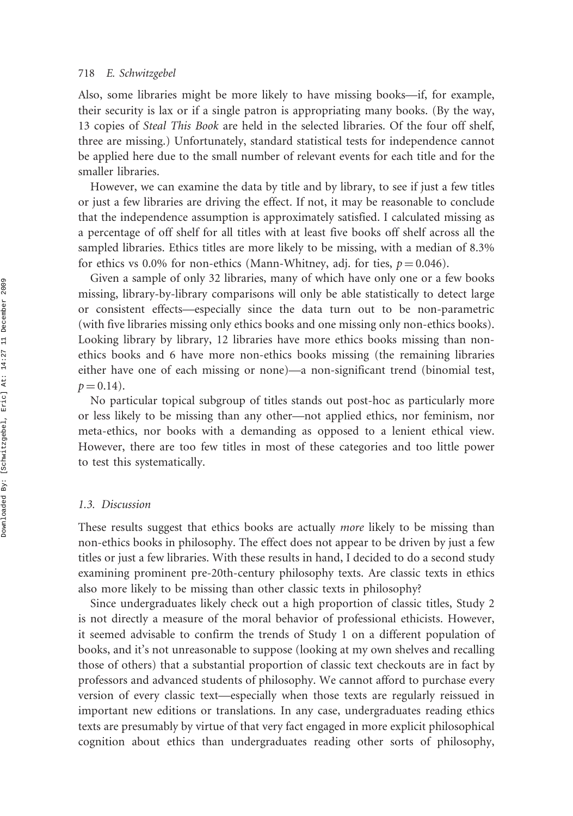Also, some libraries might be more likely to have missing books—if, for example, their security is lax or if a single patron is appropriating many books. (By the way, 13 copies of Steal This Book are held in the selected libraries. Of the four off shelf, three are missing.) Unfortunately, standard statistical tests for independence cannot be applied here due to the small number of relevant events for each title and for the smaller libraries.

However, we can examine the data by title and by library, to see if just a few titles or just a few libraries are driving the effect. If not, it may be reasonable to conclude that the independence assumption is approximately satisfied. I calculated missing as a percentage of off shelf for all titles with at least five books off shelf across all the sampled libraries. Ethics titles are more likely to be missing, with a median of 8.3% for ethics vs 0.0% for non-ethics (Mann-Whitney, adj. for ties,  $p = 0.046$ ).

Given a sample of only 32 libraries, many of which have only one or a few books missing, library-by-library comparisons will only be able statistically to detect large or consistent effects—especially since the data turn out to be non-parametric (with five libraries missing only ethics books and one missing only non-ethics books). Looking library by library, 12 libraries have more ethics books missing than nonethics books and 6 have more non-ethics books missing (the remaining libraries either have one of each missing or none)—a non-significant trend (binomial test,  $p = 0.14$ .

No particular topical subgroup of titles stands out post-hoc as particularly more or less likely to be missing than any other—not applied ethics, nor feminism, nor meta-ethics, nor books with a demanding as opposed to a lenient ethical view. However, there are too few titles in most of these categories and too little power to test this systematically.

#### 1.3. Discussion

These results suggest that ethics books are actually *more* likely to be missing than non-ethics books in philosophy. The effect does not appear to be driven by just a few titles or just a few libraries. With these results in hand, I decided to do a second study examining prominent pre-20th-century philosophy texts. Are classic texts in ethics also more likely to be missing than other classic texts in philosophy?

Since undergraduates likely check out a high proportion of classic titles, Study 2 is not directly a measure of the moral behavior of professional ethicists. However, it seemed advisable to confirm the trends of Study 1 on a different population of books, and it's not unreasonable to suppose (looking at my own shelves and recalling those of others) that a substantial proportion of classic text checkouts are in fact by professors and advanced students of philosophy. We cannot afford to purchase every version of every classic text—especially when those texts are regularly reissued in important new editions or translations. In any case, undergraduates reading ethics texts are presumably by virtue of that very fact engaged in more explicit philosophical cognition about ethics than undergraduates reading other sorts of philosophy,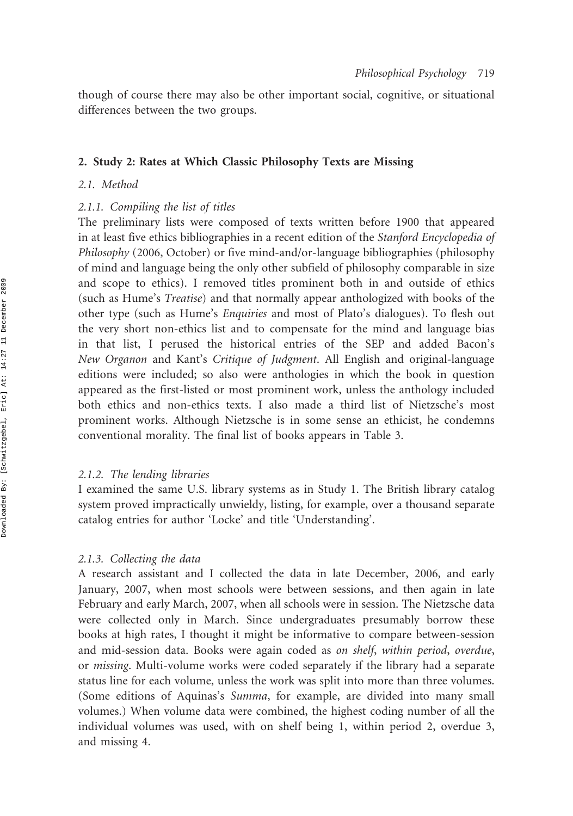though of course there may also be other important social, cognitive, or situational differences between the two groups.

# 2. Study 2: Rates at Which Classic Philosophy Texts are Missing

# 2.1. Method

# 2.1.1. Compiling the list of titles

The preliminary lists were composed of texts written before 1900 that appeared in at least five ethics bibliographies in a recent edition of the Stanford Encyclopedia of Philosophy (2006, October) or five mind-and/or-language bibliographies (philosophy of mind and language being the only other subfield of philosophy comparable in size and scope to ethics). I removed titles prominent both in and outside of ethics (such as Hume's Treatise) and that normally appear anthologized with books of the other type (such as Hume's Enquiries and most of Plato's dialogues). To flesh out the very short non-ethics list and to compensate for the mind and language bias in that list, I perused the historical entries of the SEP and added Bacon's New Organon and Kant's Critique of Judgment. All English and original-language editions were included; so also were anthologies in which the book in question appeared as the first-listed or most prominent work, unless the anthology included both ethics and non-ethics texts. I also made a third list of Nietzsche's most prominent works. Although Nietzsche is in some sense an ethicist, he condemns conventional morality. The final list of books appears in Table 3.

# 2.1.2. The lending libraries

I examined the same U.S. library systems as in Study 1. The British library catalog system proved impractically unwieldy, listing, for example, over a thousand separate catalog entries for author 'Locke' and title 'Understanding'.

# 2.1.3. Collecting the data

A research assistant and I collected the data in late December, 2006, and early January, 2007, when most schools were between sessions, and then again in late February and early March, 2007, when all schools were in session. The Nietzsche data were collected only in March. Since undergraduates presumably borrow these books at high rates, I thought it might be informative to compare between-session and mid-session data. Books were again coded as on shelf, within period, overdue, or missing. Multi-volume works were coded separately if the library had a separate status line for each volume, unless the work was split into more than three volumes. (Some editions of Aquinas's Summa, for example, are divided into many small volumes.) When volume data were combined, the highest coding number of all the individual volumes was used, with on shelf being 1, within period 2, overdue 3, and missing 4.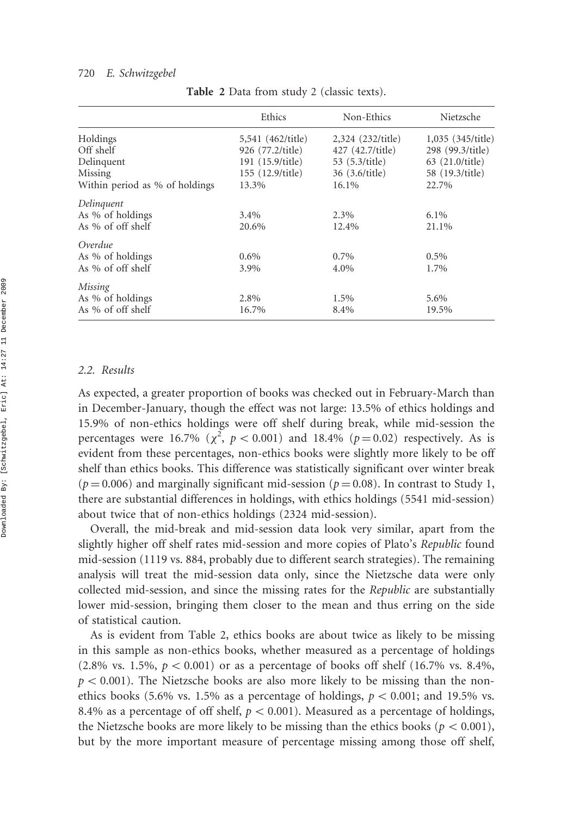|                                | Ethics            | Non-Ethics        | Nietzsche         |
|--------------------------------|-------------------|-------------------|-------------------|
| Holdings                       | 5,541 (462/title) | 2,324 (232/title) | 1,035 (345/title) |
| Off shelf                      | 926 (77.2/title)  | 427 (42.7/title)  | 298 (99.3/title)  |
| Delinquent                     | 191 (15.9/title)  | 53 (5.3/title)    | 63 (21.0/title)   |
| Missing                        | 155 (12.9/title)  | 36 (3.6/title)    | 58 (19.3/title)   |
| Within period as % of holdings | 13.3%             | 16.1%             | 22.7%             |
| Delinquent                     |                   |                   |                   |
| As % of holdings               | 3.4%              | 2.3%              | $6.1\%$           |
| As % of off shelf              | 20.6%             | 12.4%             | 21.1%             |
| Overdue                        |                   |                   |                   |
| As % of holdings               | $0.6\%$           | $0.7\%$           | $0.5\%$           |
| As % of off shelf              | 3.9%              | 4.0%              | 1.7%              |
| Missing                        |                   |                   |                   |
| As % of holdings               | 2.8%              | 1.5%              | 5.6%              |
| As % of off shelf              | 16.7%             | 8.4%              | 19.5%             |

Table 2 Data from study 2 (classic texts).

#### 2.2. Results

As expected, a greater proportion of books was checked out in February-March than in December-January, though the effect was not large: 13.5% of ethics holdings and 15.9% of non-ethics holdings were off shelf during break, while mid-session the percentages were 16.7% ( $\chi^2$ ,  $p < 0.001$ ) and 18.4% ( $p = 0.02$ ) respectively. As is evident from these percentages, non-ethics books were slightly more likely to be off shelf than ethics books. This difference was statistically significant over winter break ( $p = 0.006$ ) and marginally significant mid-session ( $p = 0.08$ ). In contrast to Study 1, there are substantial differences in holdings, with ethics holdings (5541 mid-session) about twice that of non-ethics holdings (2324 mid-session).

Overall, the mid-break and mid-session data look very similar, apart from the slightly higher off shelf rates mid-session and more copies of Plato's Republic found mid-session (1119 vs. 884, probably due to different search strategies). The remaining analysis will treat the mid-session data only, since the Nietzsche data were only collected mid-session, and since the missing rates for the Republic are substantially lower mid-session, bringing them closer to the mean and thus erring on the side of statistical caution.

As is evident from Table 2, ethics books are about twice as likely to be missing in this sample as non-ethics books, whether measured as a percentage of holdings (2.8% vs. 1.5%,  $p < 0.001$ ) or as a percentage of books off shelf (16.7% vs. 8.4%,  $p<0.001$ ). The Nietzsche books are also more likely to be missing than the nonethics books (5.6% vs. 1.5% as a percentage of holdings,  $p < 0.001$ ; and 19.5% vs. 8.4% as a percentage of off shelf,  $p < 0.001$ ). Measured as a percentage of holdings, the Nietzsche books are more likely to be missing than the ethics books ( $p < 0.001$ ), but by the more important measure of percentage missing among those off shelf,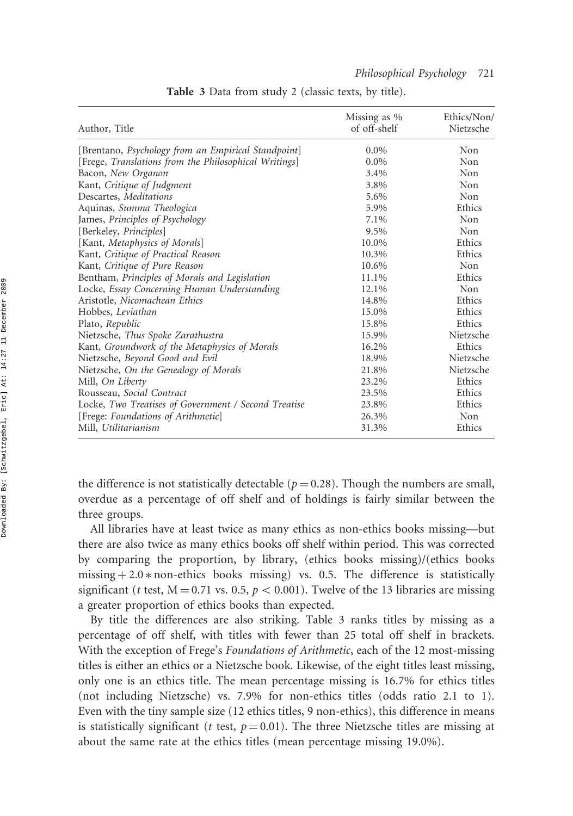| Author, Title                                         | Missing as %<br>of off-shelf | Ethics/Non/<br>Nietzsche |
|-------------------------------------------------------|------------------------------|--------------------------|
| [Brentano, Psychology from an Empirical Standpoint]   | $0.0\%$                      | Non                      |
| [Frege, Translations from the Philosophical Writings] | $0.0\%$                      | Non                      |
| Bacon, New Organon                                    | $3.4\%$                      | Non                      |
| Kant, Critique of Judgment                            | 3.8%                         | Non                      |
| Descartes, Meditations                                | $5.6\%$                      | Non                      |
| Aquinas, Summa Theologica                             | 5.9%                         | Ethics                   |
| James, Principles of Psychology                       | 7.1%                         | Non                      |
| [Berkeley, Principles]                                | $9.5\%$                      | <b>Non</b>               |
| [Kant, Metaphysics of Morals]                         | 10.0%                        | Ethics                   |
| Kant, Critique of Practical Reason                    | 10.3%                        | Ethics                   |
| Kant, Critique of Pure Reason                         | 10.6%                        | Non                      |
| Bentham, Principles of Morals and Legislation         | 11.1%                        | Ethics                   |
| Locke, Essay Concerning Human Understanding           | 12.1%                        | Non                      |
| Aristotle, Nicomachean Ethics                         | 14.8%                        | Ethics                   |
| Hobbes, Leviathan                                     | 15.0%                        | Ethics                   |
| Plato, Republic                                       | 15.8%                        | Ethics                   |
| Nietzsche, Thus Spoke Zarathustra                     | 15.9%                        | Nietzsche                |
| Kant, Groundwork of the Metaphysics of Morals         | 16.2%                        | Ethics                   |
| Nietzsche, Beyond Good and Evil                       | 18.9%                        | Nietzsche                |
| Nietzsche, On the Genealogy of Morals                 | 21.8%                        | Nietzsche                |
| Mill, On Liberty                                      | 23.2%                        | Ethics                   |
| Rousseau, Social Contract                             | 23.5%                        | Ethics                   |
| Locke, Two Treatises of Government / Second Treatise  | 23.8%                        | Ethics                   |
| [Frege: Foundations of Arithmetic]                    | 26.3%                        | <b>Non</b>               |
| Mill, Utilitarianism                                  | 31.3%                        | Ethics                   |

Table 3 Data from study 2 (classic texts, by title).

the difference is not statistically detectable ( $p = 0.28$ ). Though the numbers are small, overdue as a percentage of off shelf and of holdings is fairly similar between the three groups.

All libraries have at least twice as many ethics as non-ethics books missing—but there are also twice as many ethics books off shelf within period. This was corrected by comparing the proportion, by library, (ethics books missing)/(ethics books missing  $+2.0*$  non-ethics books missing) vs. 0.5. The difference is statistically significant (t test,  $M = 0.71$  vs. 0.5,  $p < 0.001$ ). Twelve of the 13 libraries are missing a greater proportion of ethics books than expected.

By title the differences are also striking. Table 3 ranks titles by missing as a percentage of off shelf, with titles with fewer than 25 total off shelf in brackets. With the exception of Frege's Foundations of Arithmetic, each of the 12 most-missing titles is either an ethics or a Nietzsche book. Likewise, of the eight titles least missing, only one is an ethics title. The mean percentage missing is 16.7% for ethics titles (not including Nietzsche) vs. 7.9% for non-ethics titles (odds ratio 2.1 to 1). Even with the tiny sample size (12 ethics titles, 9 non-ethics), this difference in means is statistically significant (t test,  $p = 0.01$ ). The three Nietzsche titles are missing at about the same rate at the ethics titles (mean percentage missing 19.0%).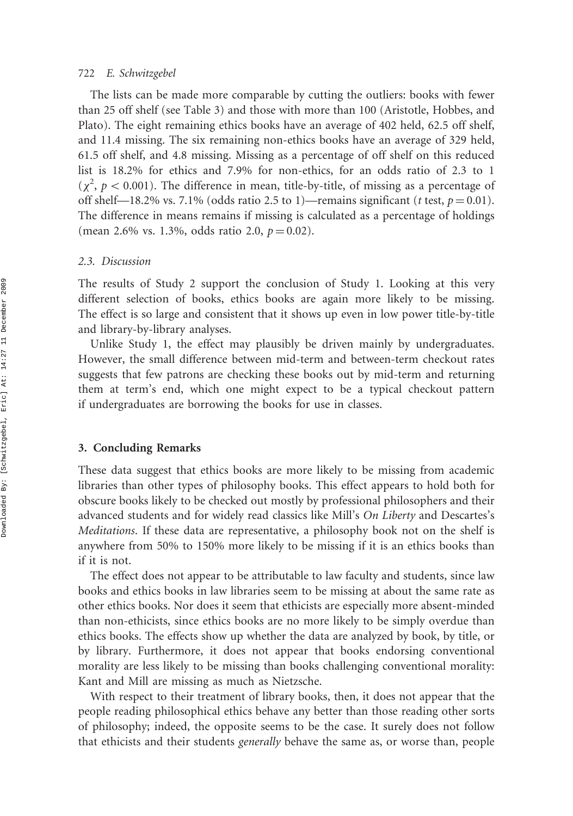The lists can be made more comparable by cutting the outliers: books with fewer than 25 off shelf (see Table 3) and those with more than 100 (Aristotle, Hobbes, and Plato). The eight remaining ethics books have an average of 402 held, 62.5 off shelf, and 11.4 missing. The six remaining non-ethics books have an average of 329 held, 61.5 off shelf, and 4.8 missing. Missing as a percentage of off shelf on this reduced list is 18.2% for ethics and 7.9% for non-ethics, for an odds ratio of 2.3 to 1  $(\chi^2, p < 0.001)$ . The difference in mean, title-by-title, of missing as a percentage of off shelf—18.2% vs. 7.1% (odds ratio 2.5 to 1)—remains significant (t test,  $p = 0.01$ ). The difference in means remains if missing is calculated as a percentage of holdings (mean 2.6% vs. 1.3%, odds ratio 2.0,  $p = 0.02$ ).

#### 2.3. Discussion

The results of Study 2 support the conclusion of Study 1. Looking at this very different selection of books, ethics books are again more likely to be missing. The effect is so large and consistent that it shows up even in low power title-by-title and library-by-library analyses.

Unlike Study 1, the effect may plausibly be driven mainly by undergraduates. However, the small difference between mid-term and between-term checkout rates suggests that few patrons are checking these books out by mid-term and returning them at term's end, which one might expect to be a typical checkout pattern if undergraduates are borrowing the books for use in classes.

#### 3. Concluding Remarks

These data suggest that ethics books are more likely to be missing from academic libraries than other types of philosophy books. This effect appears to hold both for obscure books likely to be checked out mostly by professional philosophers and their advanced students and for widely read classics like Mill's On Liberty and Descartes's Meditations. If these data are representative, a philosophy book not on the shelf is anywhere from 50% to 150% more likely to be missing if it is an ethics books than if it is not.

The effect does not appear to be attributable to law faculty and students, since law books and ethics books in law libraries seem to be missing at about the same rate as other ethics books. Nor does it seem that ethicists are especially more absent-minded than non-ethicists, since ethics books are no more likely to be simply overdue than ethics books. The effects show up whether the data are analyzed by book, by title, or by library. Furthermore, it does not appear that books endorsing conventional morality are less likely to be missing than books challenging conventional morality: Kant and Mill are missing as much as Nietzsche.

With respect to their treatment of library books, then, it does not appear that the people reading philosophical ethics behave any better than those reading other sorts of philosophy; indeed, the opposite seems to be the case. It surely does not follow that ethicists and their students generally behave the same as, or worse than, people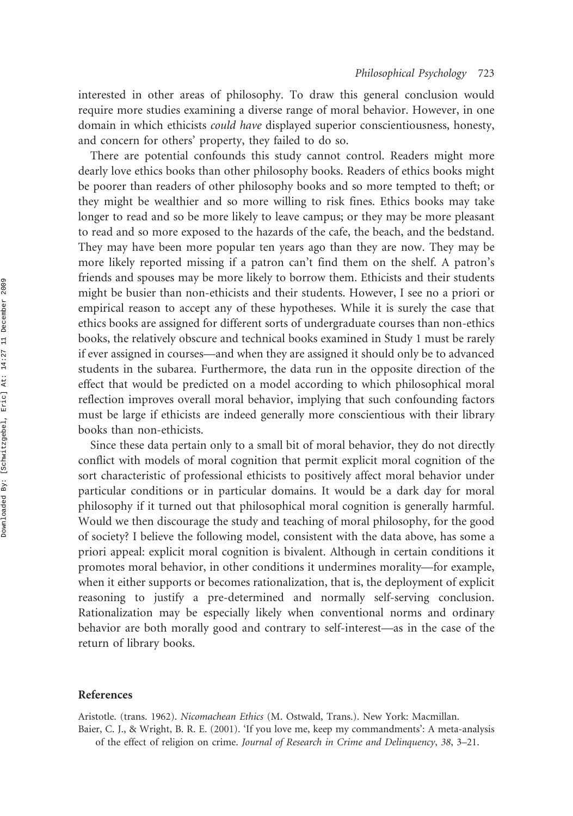interested in other areas of philosophy. To draw this general conclusion would require more studies examining a diverse range of moral behavior. However, in one domain in which ethicists could have displayed superior conscientiousness, honesty, and concern for others' property, they failed to do so.

There are potential confounds this study cannot control. Readers might more dearly love ethics books than other philosophy books. Readers of ethics books might be poorer than readers of other philosophy books and so more tempted to theft; or they might be wealthier and so more willing to risk fines. Ethics books may take longer to read and so be more likely to leave campus; or they may be more pleasant to read and so more exposed to the hazards of the cafe, the beach, and the bedstand. They may have been more popular ten years ago than they are now. They may be more likely reported missing if a patron can't find them on the shelf. A patron's friends and spouses may be more likely to borrow them. Ethicists and their students might be busier than non-ethicists and their students. However, I see no a priori or empirical reason to accept any of these hypotheses. While it is surely the case that ethics books are assigned for different sorts of undergraduate courses than non-ethics books, the relatively obscure and technical books examined in Study 1 must be rarely if ever assigned in courses—and when they are assigned it should only be to advanced students in the subarea. Furthermore, the data run in the opposite direction of the effect that would be predicted on a model according to which philosophical moral reflection improves overall moral behavior, implying that such confounding factors must be large if ethicists are indeed generally more conscientious with their library books than non-ethicists.

Since these data pertain only to a small bit of moral behavior, they do not directly conflict with models of moral cognition that permit explicit moral cognition of the sort characteristic of professional ethicists to positively affect moral behavior under particular conditions or in particular domains. It would be a dark day for moral philosophy if it turned out that philosophical moral cognition is generally harmful. Would we then discourage the study and teaching of moral philosophy, for the good of society? I believe the following model, consistent with the data above, has some a priori appeal: explicit moral cognition is bivalent. Although in certain conditions it promotes moral behavior, in other conditions it undermines morality—for example, when it either supports or becomes rationalization, that is, the deployment of explicit reasoning to justify a pre-determined and normally self-serving conclusion. Rationalization may be especially likely when conventional norms and ordinary behavior are both morally good and contrary to self-interest—as in the case of the return of library books.

# References

Aristotle. (trans. 1962). Nicomachean Ethics (M. Ostwald, Trans.). New York: Macmillan. Baier, C. J., & Wright, B. R. E. (2001). 'If you love me, keep my commandments': A meta-analysis

of the effect of religion on crime. Journal of Research in Crime and Delinquency, 38, 3–21.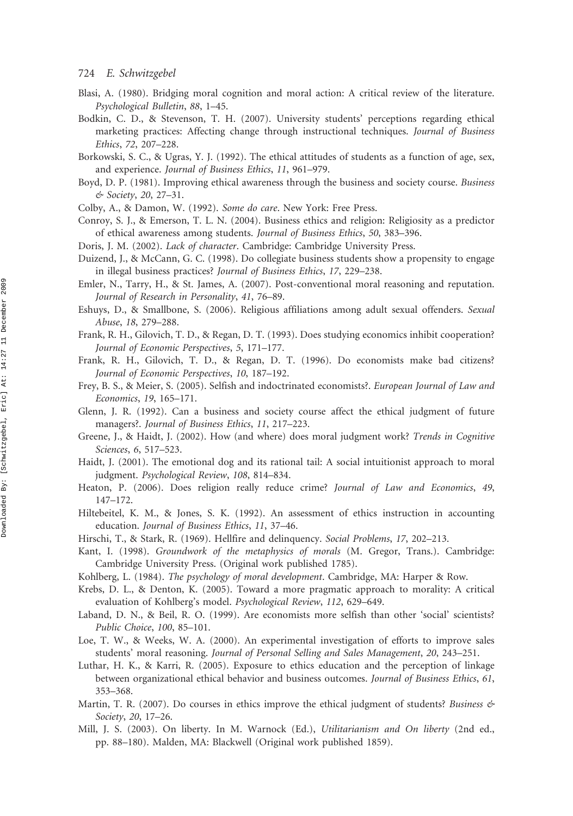- Blasi, A. (1980). Bridging moral cognition and moral action: A critical review of the literature. Psychological Bulletin, 88, 1–45.
- Bodkin, C. D., & Stevenson, T. H. (2007). University students' perceptions regarding ethical marketing practices: Affecting change through instructional techniques. Journal of Business Ethics, 72, 207–228.
- Borkowski, S. C., & Ugras, Y. J. (1992). The ethical attitudes of students as a function of age, sex, and experience. Journal of Business Ethics, 11, 961–979.
- Boyd, D. P. (1981). Improving ethical awareness through the business and society course. Business & Society, 20, 27–31.
- Colby, A., & Damon, W. (1992). Some do care. New York: Free Press.
- Conroy, S. J., & Emerson, T. L. N. (2004). Business ethics and religion: Religiosity as a predictor of ethical awareness among students. Journal of Business Ethics, 50, 383–396.
- Doris, J. M. (2002). Lack of character. Cambridge: Cambridge University Press.
- Duizend, J., & McCann, G. C. (1998). Do collegiate business students show a propensity to engage in illegal business practices? Journal of Business Ethics, 17, 229–238.
- Emler, N., Tarry, H., & St. James, A. (2007). Post-conventional moral reasoning and reputation. Journal of Research in Personality, 41, 76–89.
- Eshuys, D., & Smallbone, S. (2006). Religious affiliations among adult sexual offenders. Sexual Abuse, 18, 279–288.
- Frank, R. H., Gilovich, T. D., & Regan, D. T. (1993). Does studying economics inhibit cooperation? Journal of Economic Perspectives, 5, 171–177.
- Frank, R. H., Gilovich, T. D., & Regan, D. T. (1996). Do economists make bad citizens? Journal of Economic Perspectives, 10, 187–192.
- Frey, B. S., & Meier, S. (2005). Selfish and indoctrinated economists?. European Journal of Law and Economics, 19, 165–171.
- Glenn, J. R. (1992). Can a business and society course affect the ethical judgment of future managers?. Journal of Business Ethics, 11, 217–223.
- Greene, J., & Haidt, J. (2002). How (and where) does moral judgment work? Trends in Cognitive Sciences, 6, 517–523.
- Haidt, J. (2001). The emotional dog and its rational tail: A social intuitionist approach to moral judgment. Psychological Review, 108, 814–834.
- Heaton, P. (2006). Does religion really reduce crime? Journal of Law and Economics, 49, 147–172.
- Hiltebeitel, K. M., & Jones, S. K. (1992). An assessment of ethics instruction in accounting education. Journal of Business Ethics, 11, 37–46.
- Hirschi, T., & Stark, R. (1969). Hellfire and delinquency. Social Problems, 17, 202–213.
- Kant, I. (1998). Groundwork of the metaphysics of morals (M. Gregor, Trans.). Cambridge: Cambridge University Press. (Original work published 1785).
- Kohlberg, L. (1984). The psychology of moral development. Cambridge, MA: Harper & Row.
- Krebs, D. L., & Denton, K. (2005). Toward a more pragmatic approach to morality: A critical evaluation of Kohlberg's model. Psychological Review, 112, 629–649.
- Laband, D. N., & Beil, R. O. (1999). Are economists more selfish than other 'social' scientists? Public Choice, 100, 85–101.
- Loe, T. W., & Weeks, W. A. (2000). An experimental investigation of efforts to improve sales students' moral reasoning. Journal of Personal Selling and Sales Management, 20, 243–251.
- Luthar, H. K., & Karri, R. (2005). Exposure to ethics education and the perception of linkage between organizational ethical behavior and business outcomes. Journal of Business Ethics, 61, 353–368.
- Martin, T. R. (2007). Do courses in ethics improve the ethical judgment of students? Business  $\mathfrak{G}$ Society, 20, 17–26.
- Mill, J. S. (2003). On liberty. In M. Warnock (Ed.), Utilitarianism and On liberty (2nd ed., pp. 88–180). Malden, MA: Blackwell (Original work published 1859).